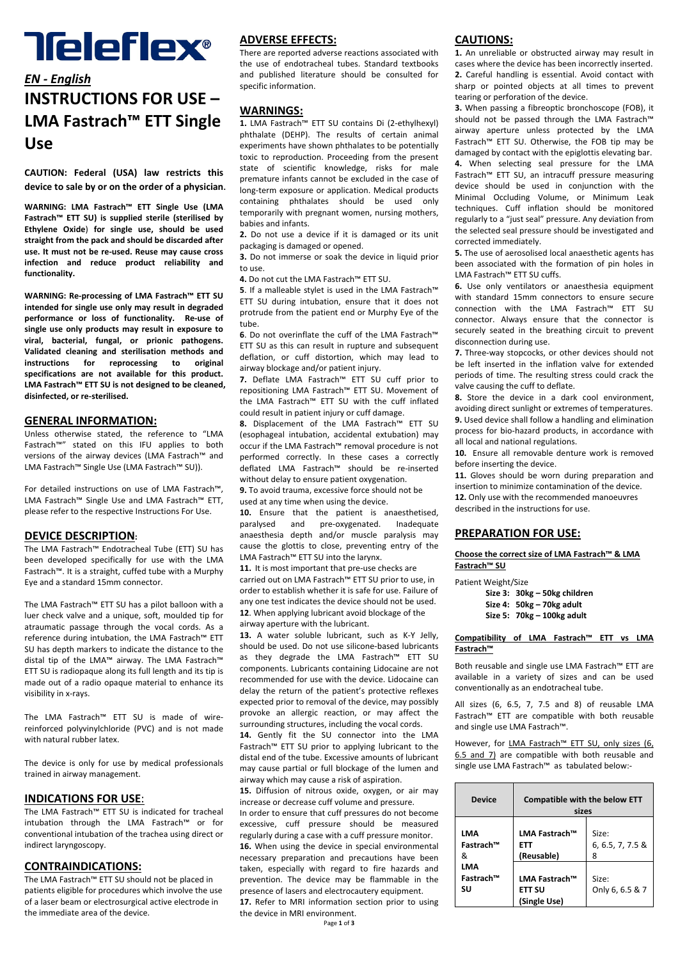# **Teleflex®**

## *EN ‐ English* **INSTRUCTIONS FOR USE – LMA Fastrach™ ETT Single Use**

**CAUTION: Federal (USA) law restricts this device to sale by or on the order of a physician**.

**WARNING: LMA Fastrach™ ETT Single Use (LMA Fastrach™ ETT SU) is supplied sterile (sterilised by Ethylene Oxide**) **for single use, should be used straight from the pack and should be discarded after use. It must not be re‐used. Reuse may cause cross infection and reduce product reliability and functionality.**

**WARNING: Re‐processing of LMA Fastrach™ ETT SU intended for single use only may result in degraded performance or loss of functionality. Re‐use of single use only products may result in exposure to viral, bacterial, fungal, or prionic pathogens. Validated cleaning and sterilisation methods and instructions for reprocessing to original specifications are not available for this product. LMA Fastrach™ ETT SU is not designed to be cleaned, disinfected, or re‐sterilised.**

## **GENERAL INFORMATION:**

Unless otherwise stated, the reference to "LMA Fastrach™" stated on this IFU applies to both versions of the airway devices (LMA Fastrach™ and LMA Fastrach™ Single Use (LMA Fastrach™ SU)).

For detailed instructions on use of LMA Fastrach™, LMA Fastrach™ Single Use and LMA Fastrach™ ETT, please refer to the respective Instructions For Use.

## **DEVICE DESCRIPTION:**

The LMA Fastrach™ Endotracheal Tube (ETT) SU has been developed specifically for use with the LMA Fastrach™. It is a straight, cuffed tube with a Murphy Eye and a standard 15mm connector.

The LMA Fastrach™ ETT SU has a pilot balloon with a luer check valve and a unique, soft, moulded tip for atraumatic passage through the vocal cords. As a reference during intubation, the LMA Fastrach™ ETT SU has depth markers to indicate the distance to the distal tip of the LMA™ airway. The LMA Fastrach™ ETT SU is radiopaque along its full length and its tip is made out of a radio opaque material to enhance its visibility in x‐rays.

The LMA Fastrach™ ETT SU is made of wire‐ reinforced polyvinylchloride (PVC) and is not made with natural rubber latex.

The device is only for use by medical professionals trained in airway management.

#### **INDICATIONS FOR USE**:

The LMA Fastrach™ ETT SU is indicated for tracheal intubation through the LMA Fastrach™ or for conventional intubation of the trachea using direct or indirect laryngoscopy.

## **CONTRAINDICATIONS:**

The LMA Fastrach™ ETT SU should not be placed in patients eligible for procedures which involve the use of a laser beam or electrosurgical active electrode in the immediate area of the device.

## **ADVERSE EFFECTS:**

There are reported adverse reactions associated with the use of endotracheal tubes. Standard textbooks and published literature should be consulted for specific information.

## **WARNINGS:**

**1.** LMA Fastrach™ ETT SU contains Di (2‐ethylhexyl) phthalate (DEHP). The results of certain animal experiments have shown phthalates to be potentially toxic to reproduction. Proceeding from the present state of scientific knowledge, risks for male premature infants cannot be excluded in the case of long‐term exposure or application. Medical products containing phthalates should be used only temporarily with pregnant women, nursing mothers, babies and infants.

**2.** Do not use a device if it is damaged or its unit packaging is damaged or opened.

**3.** Do not immerse or soak the device in liquid prior to use.

**4.** Do not cut the LMA Fastrach™ ETT SU.

**5**. If a malleable stylet is used in the LMA Fastrach™ ETT SU during intubation, ensure that it does not protrude from the patient end or Murphy Eye of the tube.

**6**. Do not overinflate the cuff of the LMA Fastrach™ ETT SU as this can result in rupture and subsequent deflation, or cuff distortion, which may lead to airway blockage and/or patient injury.

**7.** Deflate LMA Fastrach™ ETT SU cuff prior to repositioning LMA Fastrach™ ETT SU. Movement of the LMA Fastrach™ ETT SU with the cuff inflated could result in patient injury or cuff damage.

**8.** Displacement of the LMA Fastrach™ ETT SU (esophageal intubation, accidental extubation) may occur if the LMA Fastrach™ removal procedure is not performed correctly. In these cases a correctly deflated LMA Fastrach™ should be re‐inserted without delay to ensure patient oxygenation. **9.** To avoid trauma, excessive force should not be

used at any time when using the device.

**10.** Ensure that the patient is anaesthetised, paralysed and pre‐oxygenated. Inadequate anaesthesia depth and/or muscle paralysis may cause the glottis to close, preventing entry of the LMA Fastrach™ ETT SU into the larynx.

11. It is most important that pre-use checks are carried out on LMA Fastrach™ ETT SU prior to use, in order to establish whether it is safe for use. Failure of any one test indicates the device should not be used. **12**. When applying lubricant avoid blockage of the airway aperture with the lubricant.

**13.** A water soluble lubricant, such as K‐Y Jelly, should be used. Do not use silicone‐based lubricants as they degrade the LMA Fastrach™ ETT SU components. Lubricants containing Lidocaine are not recommended for use with the device. Lidocaine can delay the return of the patient's protective reflexes expected prior to removal of the device, may possibly provoke an allergic reaction, or may affect the surrounding structures, including the vocal cords.

**14.** Gently fit the SU connector into the LMA Fastrach™ ETT SU prior to applying lubricant to the distal end of the tube. Excessive amounts of lubricant may cause partial or full blockage of the lumen and airway which may cause a risk of aspiration.

**15.** Diffusion of nitrous oxide, oxygen, or air may increase or decrease cuff volume and pressure. In order to ensure that cuff pressures do not become excessive, cuff pressure should be measured regularly during a case with a cuff pressure monitor. **16.** When using the device in special environmental necessary preparation and precautions have been taken, especially with regard to fire hazards and prevention. The device may be flammable in the presence of lasers and electrocautery equipment. **17.** Refer to MRI information section prior to using the device in MRI environment.

## **CAUTIONS:**

**1.** An unreliable or obstructed airway may result in cases where the device has been incorrectly inserted. **2.** Careful handling is essential. Avoid contact with sharp or pointed objects at all times to prevent tearing or perforation of the device.

**3.** When passing a fibreoptic bronchoscope (FOB), it should not be passed through the LMA Fastrach™ airway aperture unless protected by the LMA Fastrach™ ETT SU. Otherwise, the FOB tip may be damaged by contact with the epiglottis elevating bar. **4.** When selecting seal pressure for the LMA

Fastrach™ ETT SU, an intracuff pressure measuring device should be used in conjunction with the Minimal Occluding Volume, or Minimum Leak techniques. Cuff inflation should be monitored regularly to a "just seal" pressure. Any deviation from the selected seal pressure should be investigated and corrected immediately.

**5.** The use of aerosolised local anaesthetic agents has been associated with the formation of pin holes in LMA Fastrach™ ETT SU cuffs.

**6.** Use only ventilators or anaesthesia equipment with standard 15mm connectors to ensure secure connection with the LMA Fastrach™ ETT SU connector. Always ensure that the connector is securely seated in the breathing circuit to prevent disconnection during use.

**7.** Three‐way stopcocks, or other devices should not be left inserted in the inflation valve for extended periods of time. The resulting stress could crack the valve causing the cuff to deflate.

**8.** Store the device in a dark cool environment, avoiding direct sunlight or extremes of temperatures. **9.** Used device shall follow a handling and elimination process for bio‐hazard products, in accordance with all local and national regulations.

**10.** Ensure all removable denture work is removed before inserting the device.

**11.** Gloves should be worn during preparation and insertion to minimize contamination of the device. **12.** Only use with the recommended manoeuvres described in the instructions for use.

#### **PREPARATION FOR USE:**

**Choose the correct size of LMA Fastrach™ & LMA Fastrach™ SU**

Patient Weight/Size

**Size 3: 30kg – 50kg children Size 4: 50kg – 70kg adult**

**Size 5: 70kg – 100kg adult**

#### **Compatibility of LMA Fastrach™ ETT vs LMA Fastrach™**

Both reusable and single use LMA Fastrach™ ETT are available in a variety of sizes and can be used conventionally as an endotracheal tube.

All sizes (6, 6.5, 7, 7.5 and 8) of reusable LMA Fastrach™ ETT are compatible with both reusable and single use LMA Fastrach™.

However, for LMA Fastrach™ ETT SU, only sizes (6, 6.5 and 7) are compatible with both reusable and single use LMA Fastrach™ as tabulated below:-

| <b>Device</b>          | <b>Compatible with the below ETT</b><br>sizes |                                |
|------------------------|-----------------------------------------------|--------------------------------|
| LMA<br>Fastrach™<br>&  | LMA Fastrach™<br>FTT<br>(Reusable)            | Size:<br>6, 6.5, 7, 7.5 &<br>8 |
| LMA<br>Fastrach™<br>SU | LMA Fastrach™<br>FTT SU<br>(Single Use)       | Size:<br>Only 6, 6.5 & 7       |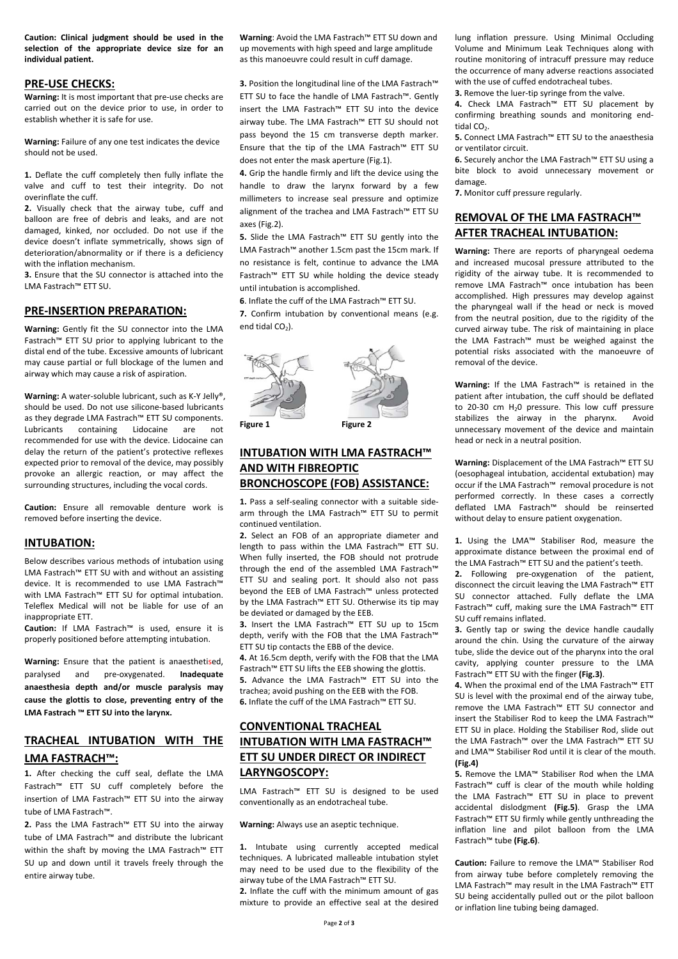**Caution: Clinical judgment should be used in the selection of the appropriate device size for an individual patient.** 

## **PRE‐USE CHECKS:**

**Warning:** It is most important that pre‐use checks are carried out on the device prior to use, in order to establish whether it is safe for use.

**Warning:** Failure of any one test indicates the device should not be used.

**1.** Deflate the cuff completely then fully inflate the valve and cuff to test their integrity. Do not overinflate the cuff.

**2.** Visually check that the airway tube, cuff and balloon are free of debris and leaks, and are not damaged, kinked, nor occluded. Do not use if the device doesn't inflate symmetrically, shows sign of deterioration/abnormality or if there is a deficiency with the inflation mechanism.

**3.** Ensure that the SU connector is attached into the LMA Fastrach™ ETT SU.

#### **PRE‐INSERTION PREPARATION:**

**Warning:** Gently fit the SU connector into the LMA Fastrach™ ETT SU prior to applying lubricant to the distal end of the tube. Excessive amounts of lubricant may cause partial or full blockage of the lumen and airway which may cause a risk of aspiration.

**Warning:** A water‐soluble lubricant, such as K‐Y Jelly®, should be used. Do not use silicone‐based lubricants as they degrade LMA Fastrach™ ETT SU components. Lubricants containing Lidocaine are not recommended for use with the device. Lidocaine can delay the return of the patient's protective reflexes expected prior to removal of the device, may possibly provoke an allergic reaction, or may affect the surrounding structures, including the vocal cords.

**Caution:** Ensure all removable denture work is removed before inserting the device.

## **INTUBATION:**

Below describes various methods of intubation using LMA Fastrach™ ETT SU with and without an assisting device. It is recommended to use LMA Fastrach™ with LMA Fastrach™ ETT SU for optimal intubation. Teleflex Medical will not be liable for use of an inappropriate ETT.

**Caution:** If LMA Fastrach™ is used, ensure it is properly positioned before attempting intubation.

**Warning:** Ensure that the patient is anaesthetised, paralysed and pre‐oxygenated. **Inadequate anaesthesia depth and/or muscle paralysis may cause the glottis to close, preventing entry of the LMA Fastrach ™ ETT SU into the larynx.** 

## **TRACHEAL INTUBATION WITH THE LMA FASTRACH™:**

**1.** After checking the cuff seal, deflate the LMA Fastrach™ ETT SU cuff completely before the insertion of LMA Fastrach™ ETT SU into the airway tube of LMA Fastrach™.

**2.** Pass the LMA Fastrach™ ETT SU into the airway tube of LMA Fastrach™ and distribute the lubricant within the shaft by moving the LMA Fastrach™ ETT SU up and down until it travels freely through the entire airway tube.

**Warning**: Avoid the LMA Fastrach™ ETT SU down and up movements with high speed and large amplitude as this manoeuvre could result in cuff damage.

**3.** Position the longitudinal line of the LMA Fastrach™ ETT SU to face the handle of LMA Fastrach™. Gently insert the LMA Fastrach™ ETT SU into the device airway tube. The LMA Fastrach™ ETT SU should not pass beyond the 15 cm transverse depth marker. Ensure that the tip of the LMA Fastrach™ ETT SU does not enter the mask aperture (Fig.1).

**4.** Grip the handle firmly and lift the device using the handle to draw the larynx forward by a few millimeters to increase seal pressure and optimize alignment of the trachea and LMA Fastrach™ ETT SU axes (Fig.2).

**5.** Slide the LMA Fastrach™ ETT SU gently into the LMA Fastrach™ another 1.5cm past the 15cm mark. If no resistance is felt, continue to advance the LMA Fastrach™ ETT SU while holding the device steady until intubation is accomplished.

**6**. Inflate the cuff of the LMA Fastrach™ ETT SU.

**7.** Confirm intubation by conventional means (e.g. end tidal  $CO<sub>2</sub>$ ).



## **INTUBATION WITH LMA FASTRACH™ AND WITH FIBREOPTIC BRONCHOSCOPE (FOB) ASSISTANCE:**

1. Pass a self-sealing connector with a suitable sidearm through the LMA Fastrach™ ETT SU to permit continued ventilation.

**2.** Select an FOB of an appropriate diameter and length to pass within the LMA Fastrach™ ETT SU. When fully inserted, the FOB should not protrude through the end of the assembled LMA Fastrach™ ETT SU and sealing port. It should also not pass beyond the EEB of LMA Fastrach™ unless protected by the LMA Fastrach™ ETT SU. Otherwise its tip may be deviated or damaged by the EEB.

**3.** Insert the LMA Fastrach™ ETT SU up to 15cm depth, verify with the FOB that the LMA Fastrach™ ETT SU tip contacts the EBB of the device.

**4.** At 16.5cm depth, verify with the FOB that the LMA Fastrach™ ETT SU lifts the EEB showing the glottis. **5.** Advance the LMA Fastrach™ ETT SU into the trachea; avoid pushing on the EEB with the FOB. **6.** Inflate the cuff of the LMA Fastrach™ ETT SU.

## **CONVENTIONAL TRACHEAL INTUBATION WITH LMA FASTRACH™ ETT SU UNDER DIRECT OR INDIRECT LARYNGOSCOPY:**

LMA Fastrach™ ETT SU is designed to be used conventionally as an endotracheal tube.

#### **Warning:** Always use an aseptic technique.

**1.** Intubate using currently accepted medical techniques. A lubricated malleable intubation stylet may need to be used due to the flexibility of the airway tube of the LMA Fastrach™ ETT SU. **2.** Inflate the cuff with the minimum amount of gas mixture to provide an effective seal at the desired lung inflation pressure. Using Minimal Occluding Volume and Minimum Leak Techniques along with routine monitoring of intracuff pressure may reduce the occurrence of many adverse reactions associated with the use of cuffed endotracheal tubes.

**3.** Remove the luer-tip syringe from the valve.

**4.** Check LMA Fastrach™ ETT SU placement by confirming breathing sounds and monitoring end‐ tidal CO<sub>2</sub>.

**5.** Connect LMA Fastrach™ ETT SU to the anaesthesia or ventilator circuit.

**6.** Securely anchor the LMA Fastrach™ ETT SU using a bite block to avoid unnecessary movement or damage.

**7.** Monitor cuff pressure regularly.

## **REMOVAL OF THE LMA FASTRACH™ AFTER TRACHEAL INTUBATION:**

**Warning:** There are reports of pharyngeal oedema and increased mucosal pressure attributed to the rigidity of the airway tube. It is recommended to remove LMA Fastrach™ once intubation has been accomplished. High pressures may develop against the pharyngeal wall if the head or neck is moved from the neutral position, due to the rigidity of the curved airway tube. The risk of maintaining in place the LMA Fastrach™ must be weighed against the potential risks associated with the manoeuvre of removal of the device.

**Warning:** If the LMA Fastrach™ is retained in the patient after intubation, the cuff should be deflated to 20‐30 cm H20 pressure. This low cuff pressure stabilizes the airway in the pharynx. Avoid unnecessary movement of the device and maintain head or neck in a neutral position.

**Warning:** Displacement of the LMA Fastrach™ ETT SU (oesophageal intubation, accidental extubation) may occur if the LMA Fastrach™ removal procedure is not performed correctly. In these cases a correctly deflated LMA Fastrach™ should be reinserted without delay to ensure patient oxygenation.

**1.** Using the LMA™ Stabiliser Rod, measure the approximate distance between the proximal end of the LMA Fastrach™ ETT SU and the patient's teeth.

**2.** Following pre‐oxygenation of the patient, disconnect the circuit leaving the LMA Fastrach™ ETT SU connector attached. Fully deflate the LMA Fastrach™ cuff, making sure the LMA Fastrach™ ETT SU cuff remains inflated.

**3.** Gently tap or swing the device handle caudally around the chin. Using the curvature of the airway tube, slide the device out of the pharynx into the oral cavity, applying counter pressure to the LMA Fastrach™ ETT SU with the finger **(Fig.3)**.

**4.** When the proximal end of the LMA Fastrach™ ETT SU is level with the proximal end of the airway tube, remove the LMA Fastrach™ ETT SU connector and insert the Stabiliser Rod to keep the LMA Fastrach™ ETT SU in place. Holding the Stabiliser Rod, slide out the LMA Fastrach™ over the LMA Fastrach™ ETT SU and LMA™ Stabiliser Rod until it is clear of the mouth. **(Fig.4)**

**5.** Remove the LMA™ Stabiliser Rod when the LMA Fastrach™ cuff is clear of the mouth while holding the LMA Fastrach™ ETT SU in place to prevent accidental dislodgment **(Fig.5)**. Grasp the LMA Fastrach™ ETT SU firmly while gently unthreading the inflation line and pilot balloon from the LMA Fastrach™ tube **(Fig.6)**.

**Caution:** Failure to remove the LMA™ Stabiliser Rod from airway tube before completely removing the LMA Fastrach™ may result in the LMA Fastrach™ ETT SU being accidentally pulled out or the pilot balloon or inflation line tubing being damaged.